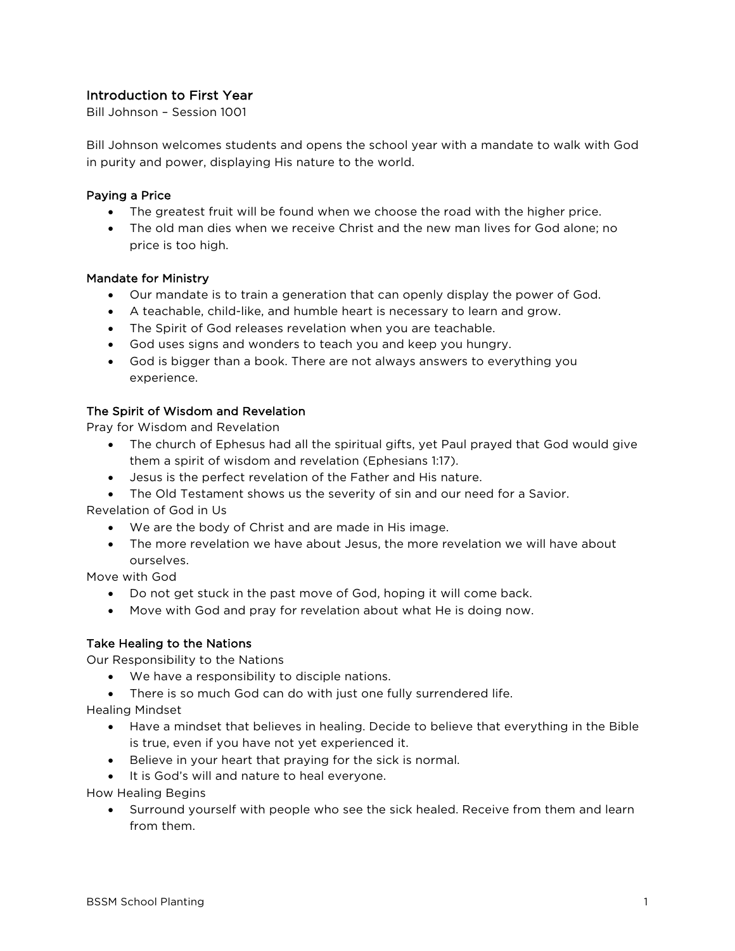# Introduction to First Year

Bill Johnson – Session 1001

Bill Johnson welcomes students and opens the school year with a mandate to walk with God in purity and power, displaying His nature to the world.

### Paying a Price

- The greatest fruit will be found when we choose the road with the higher price.
- The old man dies when we receive Christ and the new man lives for God alone; no price is too high.

### Mandate for Ministry

- Our mandate is to train a generation that can openly display the power of God.
- A teachable, child-like, and humble heart is necessary to learn and grow.
- The Spirit of God releases revelation when you are teachable.
- God uses signs and wonders to teach you and keep you hungry.
- God is bigger than a book. There are not always answers to everything you experience.

### The Spirit of Wisdom and Revelation

Pray for Wisdom and Revelation

- The church of Ephesus had all the spiritual gifts, yet Paul prayed that God would give them a spirit of wisdom and revelation (Ephesians 1:17).
- Jesus is the perfect revelation of the Father and His nature.
- The Old Testament shows us the severity of sin and our need for a Savior.

Revelation of God in Us

- We are the body of Christ and are made in His image.
- The more revelation we have about Jesus, the more revelation we will have about ourselves.

Move with God

- Do not get stuck in the past move of God, hoping it will come back.
- Move with God and pray for revelation about what He is doing now.

#### Take Healing to the Nations

Our Responsibility to the Nations

- We have a responsibility to disciple nations.
- There is so much God can do with just one fully surrendered life.

Healing Mindset

- Have a mindset that believes in healing. Decide to believe that everything in the Bible is true, even if you have not yet experienced it.
- Believe in your heart that praying for the sick is normal.
- It is God's will and nature to heal everyone.

How Healing Begins

• Surround yourself with people who see the sick healed. Receive from them and learn from them.